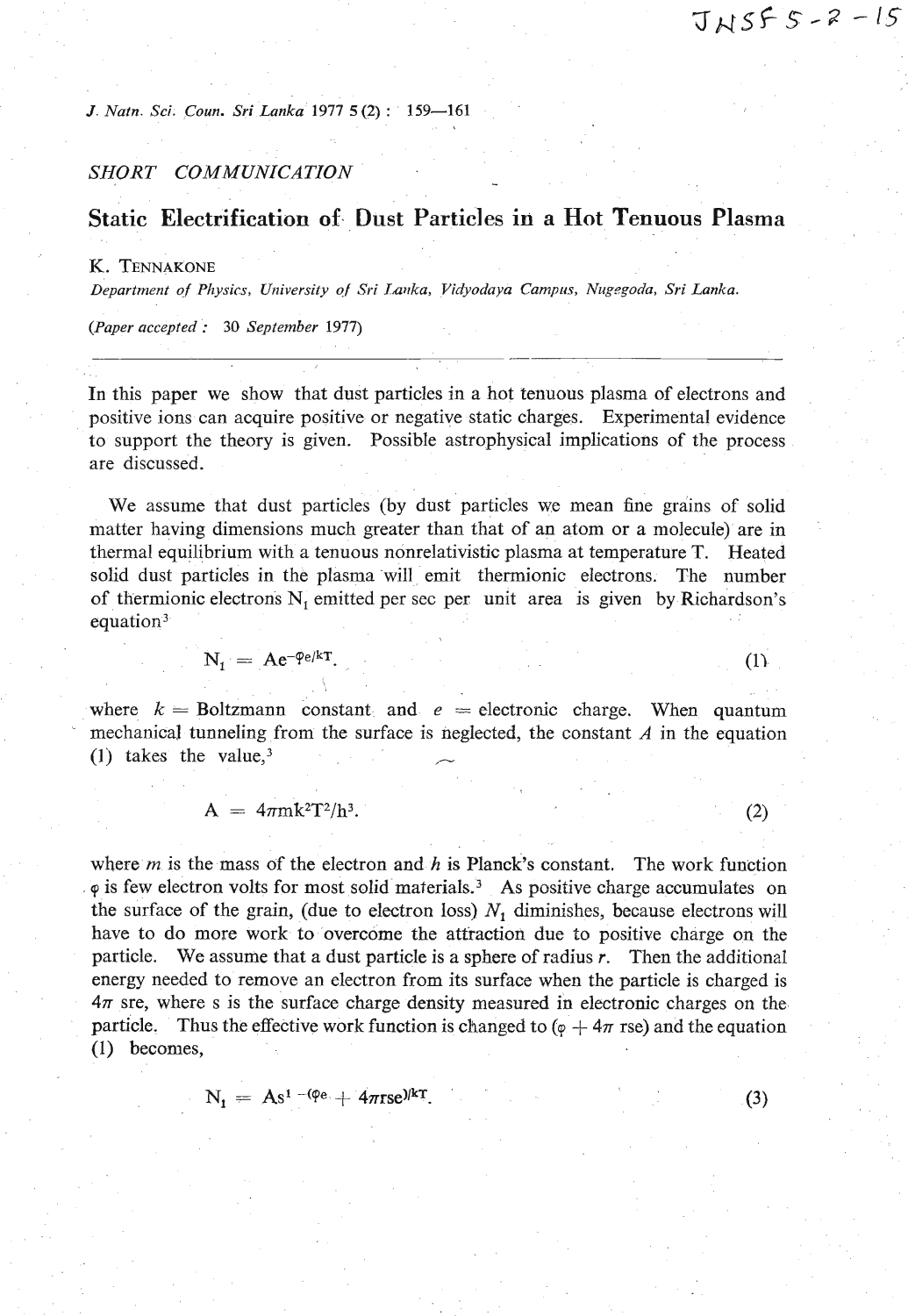$(1)$ 

 $(3)$ 

*J Natn. Sci. Coun. Sri Lanka* **1977** *5 (2)* : **159-161** 

# *SHORT COMMUNICATION* -

# **Static Electrification of Dust Particles in a Hot Tenuous Plasma**

#### **K. TENNAKONE**

Department of Physics, University of Sri Lanka, Vidyodaya Campus, Nugegoda, Sri Lanka.

*(Paper accepted* : **30** *September* **1977)** 

In this paper we show that dust particles in a hot tenuous plasma of electrons and positive ions can acquire positive or negative static charges. Experimental evidence to support the theory is given. Possible astrophysical implications of the process are discussed.

-

We assume that dust particles (by dust particles we mean fine grains of solid matter having dimensions much greater than that of an atom or a molecule) are in thermal equilibrium with a tenuous nonrelativistic plasma at temperature T. Heated solid dust particles in the plasma will emit thermionic electrons. The number of thermionic electrons  $N_t$ , emitted per sec per unit area is given by Richardson's equation<sup>3</sup>

$$
N_1 = Ae^{-\varphi e/kT}.
$$

where  $k =$  Boltzmann constant and  $e =$  electronic charge. When quantum mechanical tunneling from the surface is neglected, the constant *A* in the equation (1) takes the value,<sup>3</sup>

$$
A = 4\pi m k^2 T^2/h^3. \tag{2}
$$

where  $m$  is the mass of the electron and  $h$  is Planck's constant. The work function **cp** is few electron volts for most solid materiah3 As positive charge accumulates on the surface of the grain, (due to electron loss)  $N_1$  diminishes, because electrons will have to do more work to overcome the attraction due to positive charge on the particle. We assume that a dust particle is a sphere of radius r. Then the additiond energy needed to remove an electron from its surface when the particle is charged is **471** sre, where s is the surface charge density measured in electronic charges on the particle. Thus the effective work function is changed to  $(\varphi + 4\pi \text{ rse})$  and the equation (I) becomes,

$$
N_{\rm 1} = As^{1-(\phi_{\rm e}}+4\pi rse)^{kT}.
$$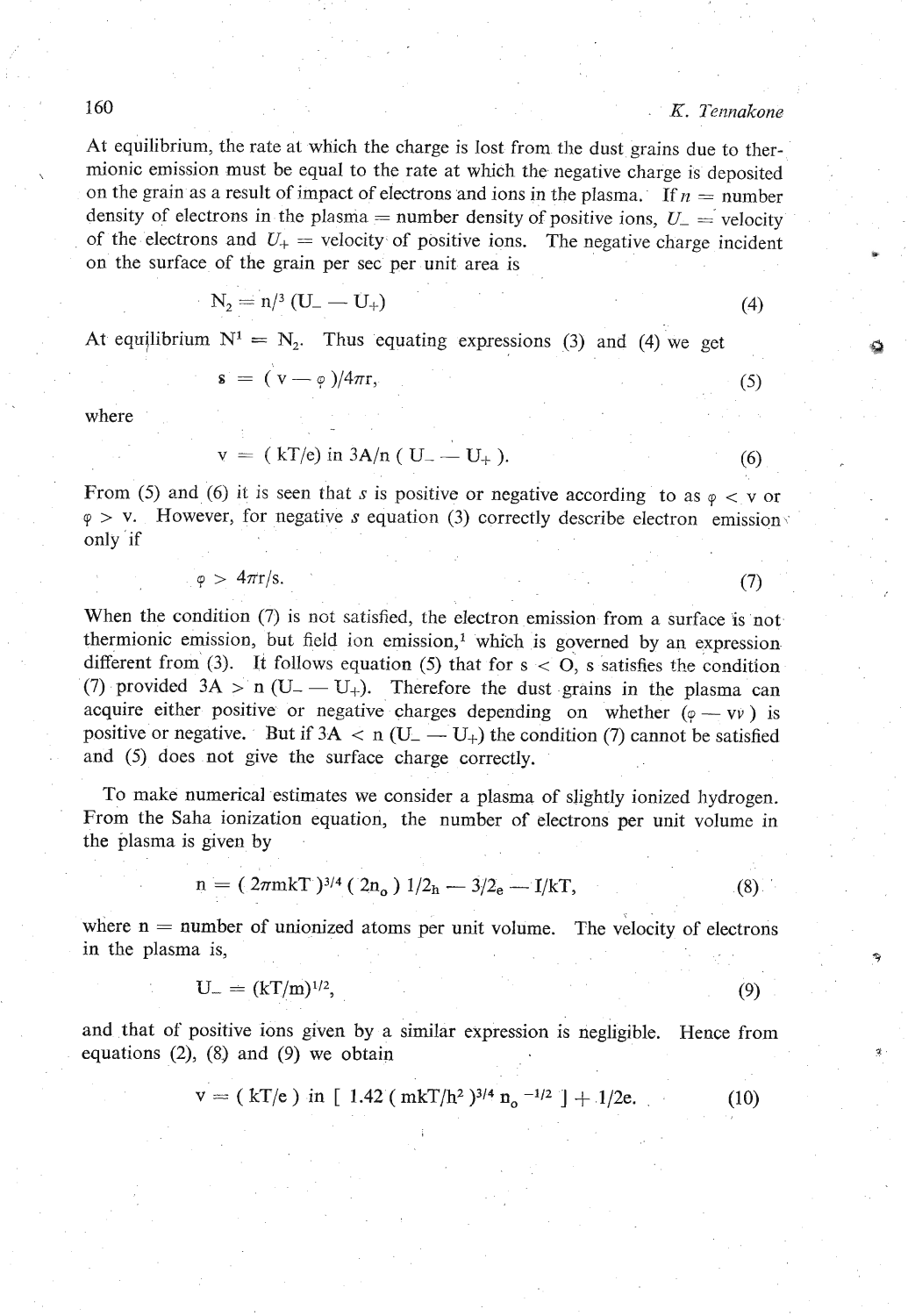**At** equilibrium, the rate at which the charge is lost from the dust grains due to ther mionic emission must be equal to the rate at which the negative charge is deposited on the grain as a result of impact of electrons and ions in the plasma. If  $n =$  number density of electrons in the plasma = number density of positive ions,  $U_{-}$  = velocity of the electrons and  $U_+$  = velocity of positive ions. The negative charge incident on the surface of the grain per sec per unit area is

$$
N_2 = n/3 \left( U_- - U_+ \right) \tag{4}
$$

At equilibrium  $N^1 = N_2$ . Thus equating expressions (3) and (4) we get <br> **a** =  $(v - \varphi)/4\pi r$ , (5)

$$
\mathbf{s} = (\mathbf{v} - \varphi)/4\pi \mathbf{r},
$$

where

$$
v = (kT/e) \text{ in } 3A/n \ (U_{-} - U_{+}). \tag{6}
$$

From (5) and (6) it is seen that  $s$  is positive or negative according to as  $\varphi < v$  or  $\varphi$  > v. However, for negative *s* equation (3) correctly describe electron emission only if

$$
\varphi > 4\pi r/s. \tag{7}
$$

When the condition (7) is not satisfied, the electron emission from a surface is not thermionic emission, but field ion emission,<sup>1</sup> which is governed by an expression different from (3). It follows equation (5) that for s < **0,** s satisfies the condition (7) provided  $3A > n (U_+ - U_+)$ . Therefore the dust grains in the plasma can anterent from (5). It follows equation (5) that for  $s < 0$ , s satisfies the condition (7) provided  $3A > n (U_+ - U_+)$ . Therefore the dust grains in the plasma can acquire either positive or negative charges depending on wheth (*i*) provided  $3A > n (U_- - U_+)$ . Interestore the dust grains in the plasma can acquire either positive or negative charges depending on whether  $(\varphi - v\psi)$  is positive or negative. But if  $3A < n (U_- - U_+)$  the condition (7) cann and (5) does not give the surface charge correctly.

To make numerical estimates we consider a plasma of slightly ionized hydrogen. From the Saha ionization equation, the number of electrons per unit volume in the plasma is given by

given by  
\n
$$
n = (2\pi m kT)^{3/4} (2n_0) 1/2_h - 3/2_e - I/kT,
$$
\n(8)

where  $n =$  number of unionized atoms per unit volume. The velocity of electrons in the plasma is,

$$
U_{-} = (kT/m)^{1/2},
$$
\n(9)

and that of positive ions given by a similar expression is negligible. Hence from equations  $(2)$ ,  $(8)$  and  $(9)$  we obtain

$$
v = ( kT/e ) in [ 1.42 ( mkT/h2 )3/4 no -1/2 ] + 1/2e.
$$
 (10)

160